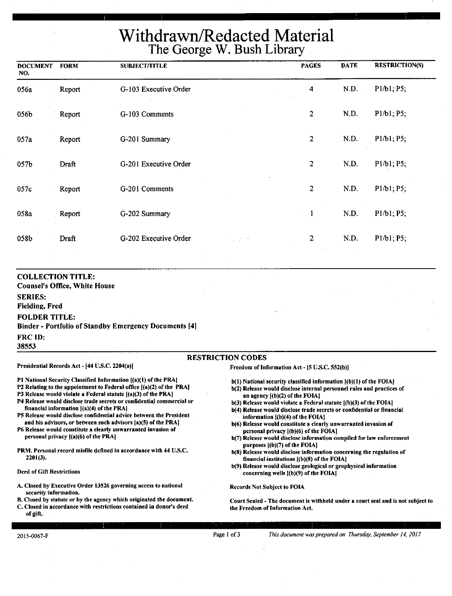# Withdrawn/Redacted Material **The** George **W. Bush** Library

| <b>DOCUMENT</b><br>NO. | <b>FORM</b> | <b>SUBJECT/TITLE</b>  | <b>PAGES</b>     | <b>DATE</b> | <b>RESTRICTION(S)</b> |
|------------------------|-------------|-----------------------|------------------|-------------|-----------------------|
| 056a                   | Report      | G-103 Executive Order | 4                | N.D.        | P1/b1; P5;            |
| 056b                   | Report      | G-103 Comments        | $\boldsymbol{2}$ | N.D.        | P1/b1; P5;            |
| 057a                   | Report      | G-201 Summary         | $\boldsymbol{2}$ | N.D.        | P1/b1; P5;            |
| 057b                   | Draft       | G-201 Executive Order | $\boldsymbol{2}$ | N.D.        | P1/b1; P5;            |
| 057c                   | Report      | G-201 Comments        | $\boldsymbol{2}$ | N.D.        | P1/b1; P5;            |
| 058a                   | Report      | G-202 Summary         | 1                | N.D.        | P1/b1; P5;            |
| 058b                   | Draft       | G-202 Executive Order | 2                | N.D.        | P1/b1; P5;            |
|                        |             |                       |                  |             |                       |

#### **COLLECTION TITLE:**

Counsel's **Office, White House** 

**SERIES:** 

**Fielding, Fred** 

**FOLDER TITLE:** 

**Binder** - **Portfolio** of Standby Emergency **Documents** 141

FRC ID: **38553** 

#### RESTRICTION CODES

#### Presidential Records Act - (44 U.S.C. 2204(a))

Pl National Security Classified Information [(a)(l) of the PRAJ

- P2 Relating to the appointment to Federal office [(a)(2) of the PRAJ
- P3 Release would violate a Federal statute ((a)(3) of the PRAJ
- P4 Release would disclose trade secrets or confidential commercial or financial information [(a)(4) of the PRA)
- PS Release would disclose confidential advice between the President and his advisors, or between such advisors (a)(S) of the PRA]

P6 Release would constitute a clearly unwarranted invasion or personal privacy ((a)(6) of the PRAI

PRM. Personal record misfile defined in accordance with 44 U.S.C. 2201(3).

#### Deed of Gift Restrictions

- A. Closed by Executive Order 13526 governing access to national security information.
- B. Closed by statute or by the agency which originated the document.

C. Closed in accordance with restrictions contained in donor's deed or gift.

Freedom of Information Act- (S U.S.C. 552(b))

- $b(1)$  National security classified information  $(1b)(1)$  of the FOIA]
- b(2) Release would disclose internal personnel rules and practices of an agency ((b)(2) of the FOIAJ
- b(3) Release would violate a Federal statute [(b)(3) of the FOIA]
- b(4) Release would disclose trade secrets or confidential or financial information ((b)(4) of the FOIAJ
- b(6) Release would constitute a clearly unwarranted invasion of personal privacy [(b)(6) of the FOIA]
- b(7) Release would disclose information compiled for law enforcement purposes ((b)(7) of the FOIAJ
- b(S) Release would disclose information concerning the regulation of financial institutions ((b)(S) or the FOIA]
- b(9) Release would disclose geological or geophysical information concerning wells l(b)(9) of the FOIA)

Records Not Subject to FOIA

Court Sealed - The document is withheld under a court seal and is not subject to the Freedom of Information Act.

Page I of3 *This document was prepared on Thursday, September 14, 2017*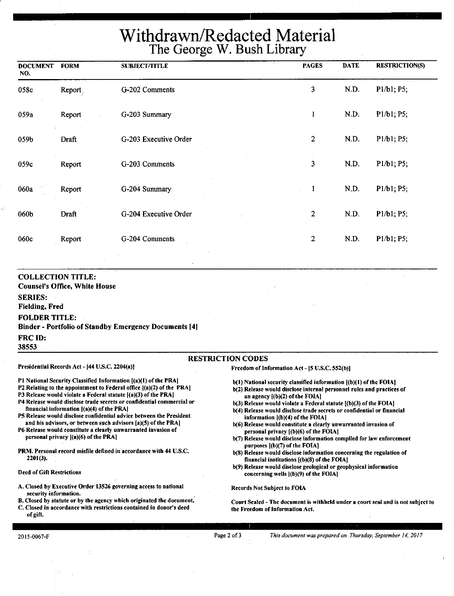# **Withdrawn/Redacted Material**  The George **W. Bush Library**

| <b>DOCUMENT</b><br>NO. | <b>FORM</b> | <b>SUBJECT/TITLE</b>  | <b>PAGES</b>            | <b>DATE</b> | <b>RESTRICTION(S)</b> |
|------------------------|-------------|-----------------------|-------------------------|-------------|-----------------------|
| 058c                   | Report      | G-202 Comments        | 3                       | N.D.        | P1/b1; P5;            |
| 059a                   | Report      | G-203 Summary         | $\frac{1}{2}$           | N.D.        | P1/b1; P5;            |
| 059b                   | Draft       | G-203 Executive Order | $\boldsymbol{2}$        | N.D.        | P1/b1; P5;            |
| 059c                   | Report      | G-203 Comments        | 3                       | N.D.        | P1/b1; P5;            |
| 060a                   | Report      | G-204 Summary         | 1                       | N.D.        | P1/b1; P5;            |
| 060b                   | Draft       | G-204 Executive Order | $\overline{c}$          | N.D.        | P1/b1; P5;            |
| 060c                   | Report      | G-204 Comments        | $\overline{\mathbf{c}}$ | N.D.        | P1/b1; P5;            |
|                        |             |                       |                         |             |                       |

### **COLLECTION TITLE:**

**Counsel's Office, White House** 

Presidential Records Act - [44 U.S.C. 2204(a)]

**SERIES:** 

**Fielding, Fred** 

**FOLDER TITLE:** 

**Binder** - **Portfolio of Standby Emergency Documents [41** 

**FRCID:** 

**38553** 

#### RESTRICTION CODES

Freedom of Information Act - [5 U.S.C. 552(b)]

- Pl National Security Classified Information [(a)(l) of the PRAJ
- P2 Relating to the appointment to Federal office ((a)(2) of the PRA)
- P3 Release would violate a Federal statute [(a)(3) of the PRA)
- P4 Release would disclose trade secrets or confidential commercial or financial information  $[(a)(4)$  of the PRA]
- P5 Release would disclose confidential advice between the President and his advisors, or between such advisors (a)(S) of the PRA)
- P6 Release would constitute a clearly unwarranted invasion of personal privacy ((a)(6) of the PRA]
- PRM. Personal record misfile defined in accordance with 44 U.S.C. 2201(3).

#### Deed of Gift Restrictions

- A. Closed by Executive Order 13526 governing access to national security information.
- B. Closed by statute or by the agency which originated the document.
- C. Closed in accordance with restrictions contained in donor's deed of gift.
- b(1) National security classified information  $[(b)(1)$  of the FOIA] b(2) Release would disclose internal personnel rules and practices of
- an agency [(b)(2) of the FOIA]
- b(3) Release would violate a Federal statute  $[(b)(3)$  of the FOIA] b(4) Release would disclose trade secrets or confidential or financial
- information ((b)(4) of the FOIA]
- b(6) Release would constitute a clearly unwarranted invasion of personal privacy ((b)(6) of the FOIA)
- b(7) Release would disclose information compiled for law enforcement purposes ((b)(7) of the FOIAl
- b(8) Release would disclose information concerning the regulation of financial institutions [(b)(8) of the FOIA]
- b(9) Release would disclose geological or geophysical information concerning wells ((b)(9) of the FOIA)

Records Not Subject to FOIA

Court Sealed - The document is withheld under a court seal and is not subject to the Freedom of Information Act.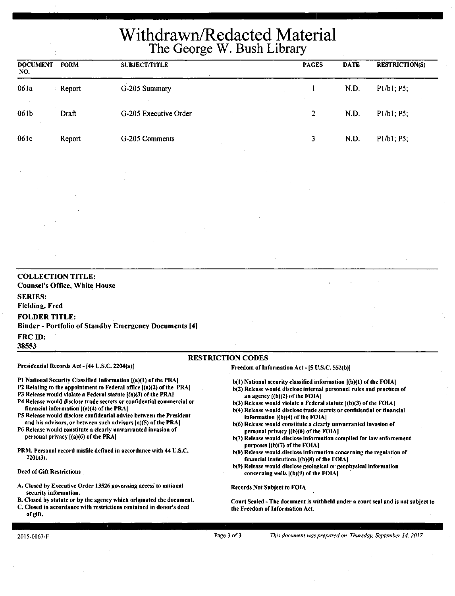# Withdrawn/Redacted Material The George W. Bush Library

| <b>DOCUMENT</b><br>NO. | <b>FORM</b> | <b>SUBJECT/TITLE</b>  | <b>PAGES</b> | <b>DATE</b> | <b>RESTRICTION(S)</b> |
|------------------------|-------------|-----------------------|--------------|-------------|-----------------------|
| 061a                   | Report      | G-205 Summary         |              | N.D.        | P1/b1; P5;            |
| 061b                   | Draft       | G-205 Executive Order | 2            | N.D.        | P1/b1; P5;            |
| 061c                   | Report      | G-205 Comments        | 3            | N.D.        | P1/b1; P5;            |

| 38553                                                            |  |  |
|------------------------------------------------------------------|--|--|
| FRC ID:                                                          |  |  |
| <b>Binder - Portfolio of Standby Emergency Documents [4]</b>     |  |  |
| <b>FOLDER TITLE:</b>                                             |  |  |
| <b>Fielding, Fred</b>                                            |  |  |
| SERIES:                                                          |  |  |
| <b>COLLECTION TITLE:</b><br><b>Counsel's Office, White House</b> |  |  |

#### Presidential Records Act - (44 U.S.C. 2204(a)J

#### RESTRICTION CODES

Freedom of Information Act - (5 U.S.C. SS2(b)]

- Pl National Security Classified Information ((a)(l) of the PRAJ
- P2 Relating to the appointment to Federal office  $[(a)(2)$  of the PRA]
- P3 Release would violate a Federal statute [(a)(3) of the PRA]
- P4 Release would disclose trade secrets or confidential commercial or financial information ((a)(4) of the PRA)
- PS Release would disclose confidential advice between the President and his advisors, or between such advisors (a)(S) of the PRA)
- P6 Release would constitute a clearly unwarranted invasion of personal privacy ((a)(6) of the PRA)
- PRM. Personal record misfile defined in accordance with 44 U.S.C. 2201(3).

Deed of Gift Restrictions

- A. Closed by Executive Order 13526 governing access' to national security information.
- 8. Closed by statute or by the agency which originated the document.
- C. Closed in accordance with restrictions contained in donor's deed of gift.
- $b(1)$  National security classified information  $J(b)(1)$  of the FOIA]
- b(2) Release would disclose internal personnel rules and practices of an agency ((b)(2) of the FOIAl
- b(3) Release would violate a Federal statute ((b)(3) of the FOIA]
- b(4) Release would disclose trade secrets or confidential or financial information ((b)(4) of the FOIA)
- b(6) Release would constitute a clearly unwarranted invasion of personal privacy ((b)(6) of the FOIAJ
- b(7) Release would disclose information compiled for law enforcement purposes ((b)(7) of the **FOIA]**
- b(8) Release would disclose information concerning the regulation of financial institutions ((b)(8) of the FOIA)
- b(9) Release would disclose geological or geophysical information concerning wells ((b)(9) of the FOIA)

Records Not Subject to FOIA

Court Sealed - The document is withheld under a court seal and is not subject to the Freedom of Information Act.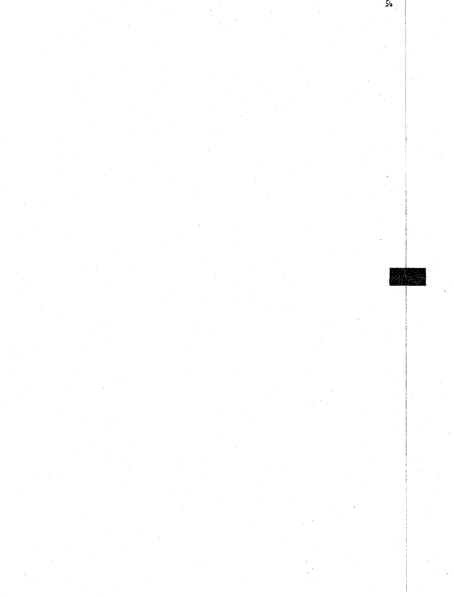56

ente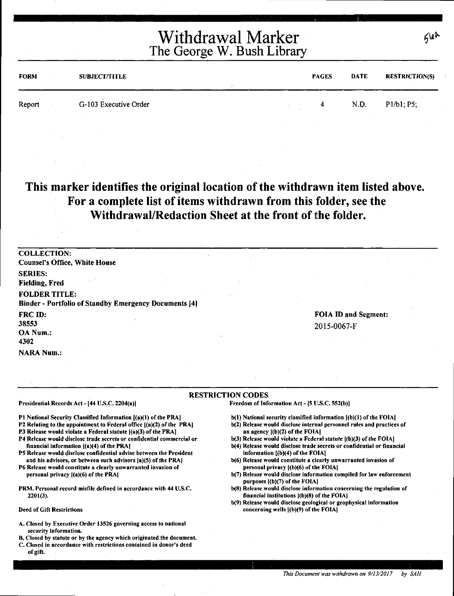| FORM   | <b>SUBJECT/TITLE</b>  | a far |  | <b>PAGES</b> | <b>DATE</b> | <b>RESTRICTION(S)</b> |
|--------|-----------------------|-------|--|--------------|-------------|-----------------------|
| Report | G-103 Executive Order |       |  | 4            | N.D.        | P1/b1; P5;            |

**This marker identifies the original location of the withdrawn item listed above. For a complete list of items withdrawn from this folder, see the Withdrawal/Redaction Sheet at the front of** the **folder.** 

| <b>COLLECTION:</b>                                                                   |            |                      |  |
|--------------------------------------------------------------------------------------|------------|----------------------|--|
| <b>Counsel's Office, White House</b>                                                 |            |                      |  |
| <b>SERIES:</b><br><b>Fielding, Fred</b>                                              |            |                      |  |
| <b>FOLDER TITLE:</b><br><b>Binder - Portfolio of Standby Emergency Documents [4]</b> |            |                      |  |
| <b>FRC ID:</b>                                                                       |            | FOIA ID and Segment: |  |
| 38553<br>OA Num.:<br>4302                                                            | <b>ANC</b> | 2015-0067-F          |  |
| <b>NARA Num.:</b>                                                                    |            |                      |  |

#### RESTRICTION CODES

Presidential Records Act - [44 U.S.C. 2204(a))

Pl National Security Classified Information [(a)(l) of the PRAJ

- P2 Relating to the appointment to Federal office ((a)(2) of the PRA)
- P3 Release would violate a Federal statute  $[(a)(3)$  of the PRA]
- P4 Release would disclose trade secrets or confidential commercial or financial information [(a)(4) of the PRAJ
- PS Release would disclose confidential advise between the President and his advisors, or between such advisors [a)(S) of the PRAJ
- P6 Release would constitute a clearly unwarranted invasion of personal privacy ((a)(6) of the PRAJ
- PRM. Personal record misfile defined in accordance with 44 U.S.C. 2201(3).

Deed of Gift Restrictions

- A. Closed by Executive Order 13526 governing access to national security information.
- B. Closed by statute or by the agency which originated the document.
- C. Closed in accordance with restrictions contained in donor's deed of gift.

b(l) National security classified information ((b)(l) of the FOIA)

Freedom of Information Act - (5 U.S.C. 552(b))

- b(2) Release would disclose internal personnel rules and practices of an agency  $[(b)(2)$  of the FOIA $]$
- $b(3)$  Release would violate a Federal statute  $[(b)(3)$  of the FOIA]
- b(4) Release would disclose trade secrets or confidential or financial information ((b)(4) of the FOIA]
- b(6) Release would constitute a clearly unwarranted invasion of personal privacy [(b)(6) of the FOIA)
- b(7) Release would disclose information compiled for law enforcement purposes ((b)(7) of the FOIA]
- b(8) Release would disclose information concerning the regulation of financial institutions ((b)(8) of the FOIA)
- b(9) Release would disclose geological or geophysical information concerning wells ((b)(9) of the FOIA)

∡ันิ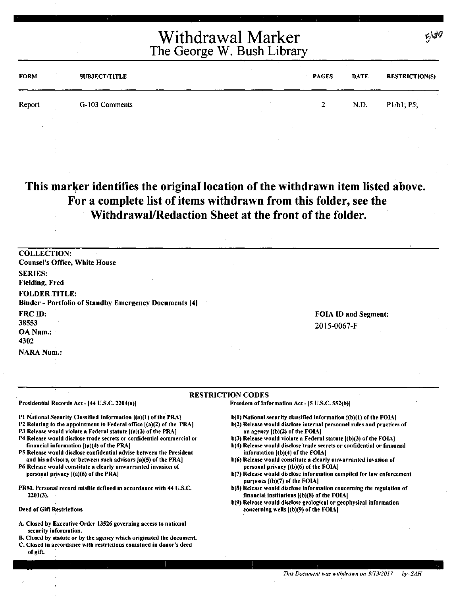| <b>FORM</b> | <b>SUBJECT/TITLE</b> | <b>PAGES</b> | <b>DATE</b> | <b>RESTRICTION(S)</b> |
|-------------|----------------------|--------------|-------------|-----------------------|
| Report      | G-103 Comments       | $2^{\circ}$  | N.D.        | P1/b1; P5;            |
|             |                      |              |             |                       |

**This marker identifies the original location of the withdrawn item listed above. For a complete list of items withdrawn from this folder, see the Withdrawal/Redaction Sheet at the front of the folder.** 

**COLLECTION:**  Counsel's Office, White House **SERIES:**  Fielding, Fred **FOLDER TITLE:**  Binder - Portfolio of Standby Emergency Documents [41 **FRCID:**  38553 **OANum.:**  4302 **NARANum.: FOIA** ID and Segment: 2015-0067-F

#### **RESTRICTION CODES**

Presidential Records Act - [44 U.S.C. 2204(a))

Pl National Security Classified Information ((a)(l) of the PRA)

- P2 Relating to the appointment to Federal office  $[(a)(2)$  of the PRA]
- P3 Release would violate a Federal statute  $[(a)(3)$  of the PRA]
- P4 Release would disclose trade secrets or confidential commercial or financial information ((a)(4) of the PRA)
- PS Release would disclose confidential advise between the President and his advisors, or between such advisors [a)(5) of the PRA]
- P6 Release would constitute a clearly unwarranted invasion of personal privacy [(a)(6) of the PRA]
- PRM. Personal record misfile defined in accordance with 44 U.S.C. 2201(3).

Deed of Gift Restrictions

- A. Closed by Executive Order 13526 governing access to national security information.
- B. Closed by statute or by the agency which originated the document.
- C. Closed in accordance with restrictions contained in donor's deed of gift.

b(l) National security classified information ((b)(l) of the FOIA)

Freedom of Information Act- [S U.S.C. 552(b))

- b(2) Release would disclose internal personnel rules and practices of an agency ((b)(2) of the FOIA]
- $b(3)$  Release would violate a Federal statute  $[(b)(3)$  of the FOIA]
- b(4) Release would disclose trade secrets or confidential or financial information ((b)(4) of the FOIAJ
- b(6) Release would constitute a clearly unwarranted invasion of personal privacy [(b)(6) of the FOIA]
- b(7) Release would disclose information compiled for law enforcement purposes [(b)(7) of the FOIA]
- b(8) Release would disclose information concerning the regulation of financial institutions [(b)(8) of the FOIA)
- b(9) Release would disclose geological or geophysical information concerning wells ((b)(9) of the FOIA]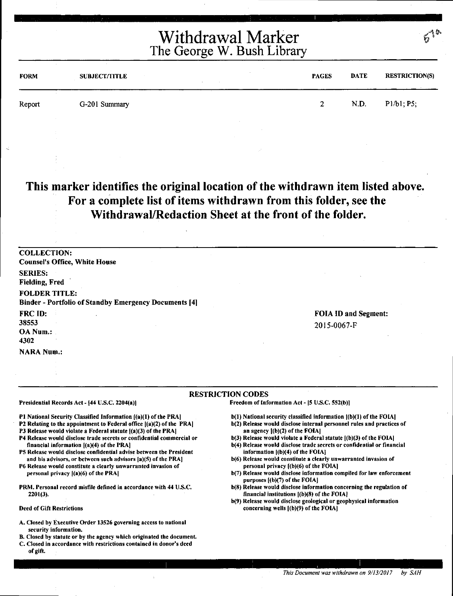| <b>FORM</b> | <b>SUBJECT/TITLE</b> | <b>PAGES</b>   | <b>DATE</b> | <b>RESTRICTION(S)</b> |
|-------------|----------------------|----------------|-------------|-----------------------|
| Report      | G-201 Summary        | 2 <sup>1</sup> | N.D.        | P1/b1; P5;            |
|             |                      |                |             |                       |

### **This marker identifies the original location of the withdrawn item listed above. For a complete list of items withdrawn from this folder, see the Withdrawal/Redaction Sheet at the front of the folder.**

COLLECTION: Counsel's Office, White House SERIES: Fielding, Fred FOLDER TITLE: Binder - Portfolio of Standby Emergency Documents [41 FRC ID: 38553 OANum.: 4302 **NARA Num.:** FOIA ID and Segment: 2015-0067-F

#### RESTRICTION CODES

Presidential Records Act - (44 U.S.C. 2204(a)) Freedom of Information Act - (S U.S.C. 552(b)I

Pl National Security Classified Information ((a)(l) of the PRAJ

- P2 Relating to the appointment to Federal office  $[(a)(2)$  of the PRA
- P3 Release would violate a Federal statute  $[(a)(3)$  of the PRA]
- P4 Release would disclose trade secrets or confidential commercial or financial information ((a)(4) of the PRA]
- PS Release would disclose confidential advise between the President and his advisors, or between such advisors (a)(S) of the PRA)
- P6 Release would constitute a clearly unwarranted invasion of personal privacy  $[(a)(6)$  of the PRA]
- PRM. Personal record misfile defined in accordance with 44 U.S.C. 2201(3).
- Deed of Gift Restrictions
- A. Closed by Executive Order 13526 governing access to national security information,
- B. Closed by statute or by the agency which originated the document.
- C. Closed in accordance with restrictions contained in donor's deed of gift.
- $b(1)$  National security classified information  $[(b)(1)$  of the FOIA]
- b(2) Release would disclose internal personnel rules and practices of an agency l(b)(2) of the FOIAJ
- b(3) Release would violate a Federal statute  $[(b)(3)$  of the FOIA] b(4) Release would disclose trade secrets or confidential or financial
- information  $[(b)(4)$  of the FOIA]
- b(6) Release would constitute a clearly unwarranted invasion of personal privacy  $[(b)(6)$  of the FOIA]
- b(7) Release would disclose information compiled for law enforcement purposes J(b)(7) of the FOIAl
- b(8) Release would disclose information concerning the regulation of financial institutions [(b)(8) of the FOIAJ
- b(9) Release would disclose geological or geophysical information concerning wells ((b)(9) of the FOIA]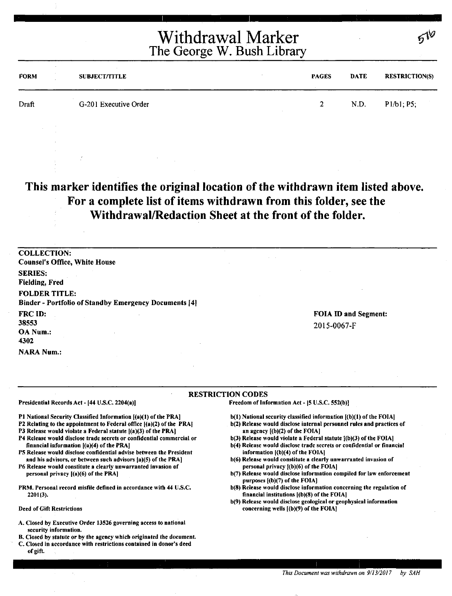| FORM  | <b>SUBJECT/TITLE</b>  | <b>PAGES</b>   | <b>DATE</b> | <b>RESTRICTION(S)</b> |
|-------|-----------------------|----------------|-------------|-----------------------|
| Draft | G-201 Executive Order | 2 <sup>1</sup> | N.D.        | P1/b1, P5;            |
|       |                       |                |             |                       |

### **This marker identifies the original location of the withdrawn item listed above. For a complete list of items withdrawn from this folder, see the Withdrawal/Redaction Sheet at the front of the folder.**

**COLLECTION: Counsel's** Office, **White** House **SERIES:**  Fielding, **Fred FOLDER TITLE:**  Binder- **Portfolio of** Standby Emergency Documents [4] FRC ID: **38553 OANum.:**  4302 **NARA Num.:** 

**FOIA** ID and Segment: 2015-0067-F

#### **RESTRICTION CODES**

Freedom of Information Act - (S U.S.C. 552(b)I

Pl National Security Classified Information [(a)(l) of the PRA]

Presidential Records Act - (44 U.S.C. 2204(a))

- P2 Relating to the appointment to Federal office ((a)(2) of the PRAJ
- P3 Release would violate a Federal statute [(a)(3) of the PRA]
- P4 Release would disclose trade secrets or confidential commercial or financial information ((a)(4) of the PRA]
- PS Release would disclose confidential advise between the President and his advisors, or between such advisors ja)(S) of the PRA)
- P6 Release would constitute a clearly unwarranted invasion of personal privacy ((a)(6) of the PRA)
- PRM. Personal record misfile defined in accordance with 44 U.S.C. 2201(3).

#### Deed of Gift Restrictions

- A. Closed by Executive Order 13526 governing access to national security information.
- B. Closed by statute or by the agency which originated the document.
- C. Closed in accordance with restrictions contained in donor's deed of gift.
- b(l) National security classified information ((b)(l) of the FOIA)
- b(2) Release would disclose internal personnel rules and practices of an agency [(b)(2) of the FOIAJ
- $b(3)$  Release would violate a Federal statute  $(6)(3)$  of the FOIA]
- b(4) Release would disclose trade secrets or confidential or financial information  $[(b)(4)$  of the FOIA]
- b(6) Release would constitute a clearly unwarranted invasion of personal privacy l(b)(6) of the FOIA]
- b(7) Release would disclose information compiled for law enforcement purposes [(b)(7) of the FOIAJ
- b(8) Release would disclose information concerning the regulation of financial institutions ((b)(8) of the FOIA)
- b(9) Release would disclose geological or geophysical information concerning wells ((b)(9) of the FOIAJ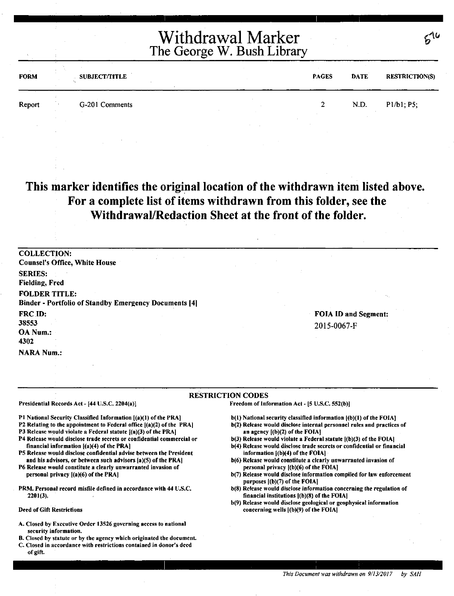| <b>FORM</b> | <b>SUBJECT/TITLE</b> | <b>PAGES</b>      | <b>DATE</b> | <b>RESTRICTION(S)</b> |
|-------------|----------------------|-------------------|-------------|-----------------------|
| Report      | G-201 Comments       | <u> 2. I</u><br>▵ | N.D.        | P1/b1; P5;            |
|             |                      |                   |             |                       |

## **This marker identifies the original location of the withdrawn item listed above. For a complete list of items withdrawn from this folder, see the Withdrawal/Redaction Sheet at the front of the folder.**

COLLECTION: Counsel's Office, White House SERIES: Fielding, Fred FOLDER TITLE: Binder - Portfolio of Standby Emergency Documents [4] FRC ID: 38553 OA Num.: 4302 NARA Num.: FOIA ID and Segment: 2015-0067-F

#### RESTRICTION CODES

Presidential Records Act - [44 U.S.C. 2204(a)l

- Pl National Security Classified Information [(a)(l) of the PRA) P2 Relating to the appointment to Federal office ((a)(2) of the PRA]
- P3 Release would violate a Federal statute  $[(a)(3)$  of the PRA]
- P4 Release would disclose trade secrets or confidential commercial or financial information  $[(a)(4)$  of the PRA]
- PS Release would disclose confidential advise between the President and his advisors, or between such advisors (a)(S) of the PRA)
- P6 Release would constitute a clearly unwarranted invasion of personal privacy ((a)(6) of the PRAJ
- PRM. Personal record misfile defined in accordance with 44 U.S.C. 2201(3).

Deed of Gift Restrictions

- A. Closed by Executive Order 13526 governing access to national security information.
- B. Closed by statute or by the agency which originated the document.
- C. Closed in accordance with restrictions contained in donor's deed of gift.

b(l) National security classified information ((b)(l) of the FOIAJ

Freedom of Information Act. [5 U.S.C. 552(b))

- b(2) Release would disclose internal personnel rules and practices of an agency  $[(b)(2)$  of the FOIA $]$
- $b(3)$  Release would violate a Federal statute  $[(b)(3)$  of the FOIA]
- b(4) Release would disclose trade secrets or confidential or financial information  $($ b $)(4)$  of the FOIA $]$
- b(6) Release would constitute a clearly unwarranted invasion of personal privacy ((b)(6) of the FOIA)
- b(7) Release would disclose information compiled for law enforcement purposes [(b)(7) of the FOIAJ
- b(S) Release would disclose information concerning the regulation of financial institutions f(b)(S) of the FOIA]
- b(9) Release would disclose geological or geophysical information concerning wells  $[(b)(9)$  of the FOIA]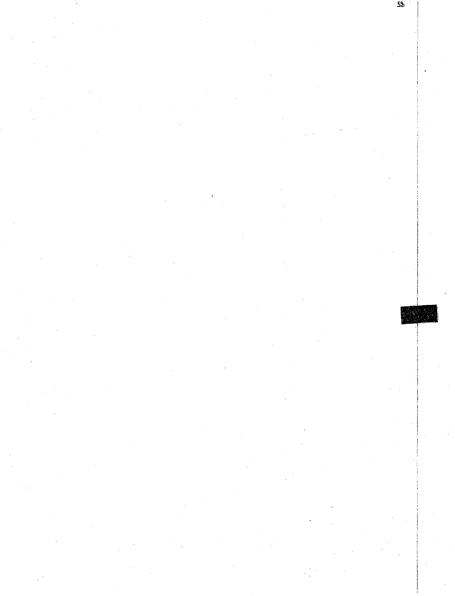$\label{eq:2.1} \frac{1}{2} \int_{\mathbb{R}^3} \frac{1}{\sqrt{2}} \, \frac{1}{\sqrt{2}} \, \frac{1}{\sqrt{2}} \, \frac{1}{\sqrt{2}} \, \frac{1}{\sqrt{2}} \, \frac{1}{\sqrt{2}} \, \frac{1}{\sqrt{2}} \, \frac{1}{\sqrt{2}} \, \frac{1}{\sqrt{2}} \, \frac{1}{\sqrt{2}} \, \frac{1}{\sqrt{2}} \, \frac{1}{\sqrt{2}} \, \frac{1}{\sqrt{2}} \, \frac{1}{\sqrt{2}} \, \frac{1}{\sqrt{2}} \, \frac{1}{\sqrt{2}} \,$ 

 $58<sup>2</sup>$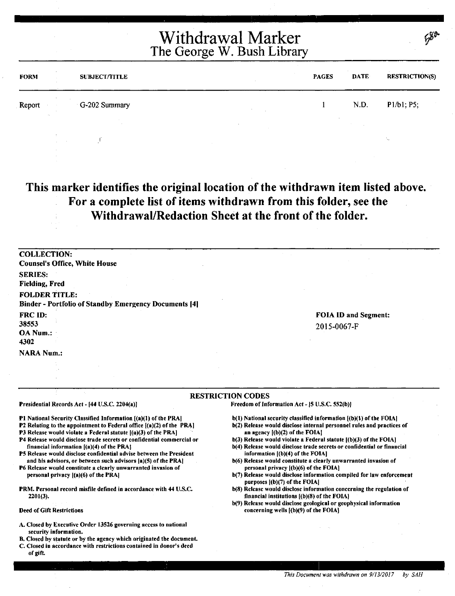| <b>FORM</b> | <b>SUBJECT/TITLE</b> | <b>PAGES</b> | <b>DATE</b> | <b>RESTRICTION(S)</b> |
|-------------|----------------------|--------------|-------------|-----------------------|
| Report      | G-202 Summary        |              | N.D.        | P1/b1; P5;            |
|             |                      |              |             |                       |

### **This marker identifies the original location of the withdrawn item listed above. For a complete list of items withdrawn from this folder, see the Withdrawal/Redaction Sheet at the front of the folder.**

#### COLLECTION: Counsel's Office, White House SERIES: Fielding, Fred FOLDER TITLE: Binder - Portfolio of Standby Emergency Documents [41 FRC ID: 38553 OANum.: 4302 **NARA Num.:** FOIA ID and Segment: 2015-0067-F

#### RESTRICTION CODES

Presidential Records Act - [44 U.S.C. 2204(a)]

Pl National Security Classified Information [(a)(l) of the PRA) P2 Relating to the appointment to Federal office  $[(a)(2)$  of the PRA.

P3 Release would violate a Federal statute [(a)(3) of the PRA]

- P4 Release would disclose trade secrets or confidential commercial or financial information [(a)(4) of the PRAI
- PS Release would disclose confidential advise between the President and his advisors, or between such advisors (a)(S) of the PRAJ
- P6 Release would constitute a clearly unwarranted invasion of personal privacy ((a)(6) of the PRAJ
- PRM. Personal record misfile defined in accordance with 44 U.S.C. 2201(3).

Deed of Gift Restrictions

- A. Closed by Executive Order 13526 governing access to national security information.
- B. Closed by statute or by the agency which originated the document.
- C. Closed in accordance with restrictions contained In donor's deed of gift.

b(l) National security classified information ((b)(l) of the FOIAJ

Freedom of Information Act - [5 U.S.C. 552(b)]

- b(2) Release would disclose internal personnel rules and practices of **an** agency ((b)(2) of the FOIAJ
- b(3) Release would violate a Federal statute ((b)(3) of the FOIAJ
- b(4) Release would disclose trade secrets or confidential or financial information ((b)(4) of the FOIAJ
- b(6) Release would constitute a clearly unwarranted invasion of personal privacy ((b)(6) of the FOIA)
- b(7) Release would disclose information compiled for law enforcement purposes ((b)(7) of the FOIAJ
- b(8) Release would disclose information concerning the regulation of financial institutions [(b)(8) of the FOIA)
- b(9) Release would disclose geological or geophysical information concerning wells ((b)(9) of the FOIA)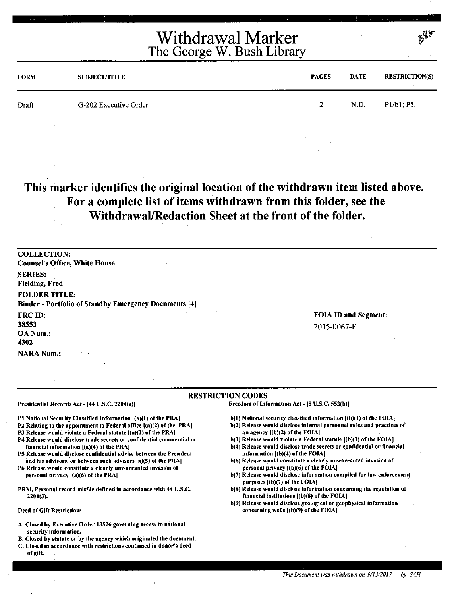| FORM  | <b>SUBJECT/TITLE</b>  | <b>PAGES</b> | DATE | <b>RESTRICTION(S)</b> |
|-------|-----------------------|--------------|------|-----------------------|
| Draft | G-202 Executive Order | $\mathbf{2}$ | N.D. | P1/b1; P5;            |

### **This marker identifies the original location of the withdrawn item listed above. For a complete list of items withdrawn from this folder, see the Withdrawal/Redaction Sheet at the front of the folder.**

| <b>COLLECTION:</b>                                           |                      |
|--------------------------------------------------------------|----------------------|
| <b>Counsel's Office, White House</b>                         |                      |
| <b>SERIES:</b>                                               |                      |
| Fielding, Fred                                               |                      |
| <b>FOLDER TITLE:</b>                                         |                      |
| <b>Binder - Portfolio of Standby Emergency Documents [4]</b> |                      |
| <b>FRC ID:</b>                                               | FOIA ID and Segment: |
| 38553                                                        | 2015-0067-F          |
| OA Num.:                                                     |                      |
| 4302                                                         |                      |
| <b>NARA Num.:</b>                                            |                      |

#### RESTRICTION CODES

Presidential Records Act- [44 U.S.C. 2204(a))

Pl National Security Classified Information [(a)(l) of the PRA]

- P2 Relating to the appointment to Federal office  $[(a)(2)$  of the PRA]
- P3 Release would violate a Federal statute [(a)(3) of the PRA]
- P4 Release would disclose trade secrets or confidential commercial or financial information [(a)(4) of the PRA]
- PS Release would disclose confidential advise between the President and his advisors, or between such advisors (a)(S) of the PRA)
- P6 Release would constitute a clearly unwarranted invasion of personal privacy ((a)(6) of the PRA)
- PRM. Personal record misfile defined in accordance with 44 U.S.C. 2201(3).

Deed of Gift Restrictions

- A. Closed by Executive Order 13526 governing access to national security information.
- B. Closed by statute or by the agency which originated the document. C. Closed in accordance with restrictions contained in donor's deed of gift.
- Freedom of Information Act [5 U.S.C. 552(b)]
	- b(l) National security classified information ((b)(l) of the FOIAJ
	- b(2) Release would disclose internal personnel rules and practices of an agency ((b)(2) of the FOIAJ
	- $b(3)$  Release would violate a Federal statute  $(6)(3)$  of the FOIA]
	- b(4) Release would disclose trade secrets or confidential or financial information ((b)(4) of the FOIA)
	- b(6) Release would constitute a clearly unwarranted invasion of personal privacy ((b)(6) of the FOIAJ
	- b(7) Release would disclose information compiled for law enforcement purposes [(b)(7) of the FOIAl
	- b(8) Release would disclose information concerning the regulation of financial institutions [(b)(8) of the FOIA]
	- b(9) Release would disclose geological or geophysical information concerning wells ((b)(9) of the FOIA]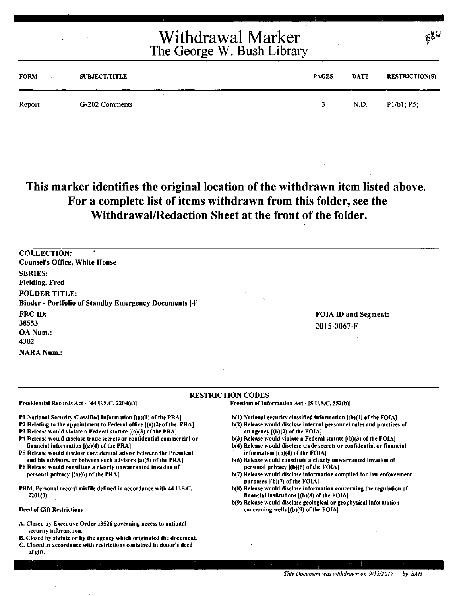| <b>FORM</b> | <b>SUBJECT/TITLE</b> | <b>PAGES</b> | <b>DATE</b> | <b>RESTRICTION(S)</b> |
|-------------|----------------------|--------------|-------------|-----------------------|
| Report      | G-202 Comments       | 3.           | N.D.        | P1/b1; P5;            |
|             |                      |              |             |                       |

**This marker identifies the original location of the withdrawn item listed above. For a complete list of items withdrawn from this folder, see the Withdrawal/Redaction Sheet at the front of the folder.** 

**COLLECTION: Counsel's Office, White House SERIES: Fielding, Fred FOLDER TITLE: Binder** - **Portfolio of Standby Emergency Documents** (41 FRC ID: **38553 OANum.: 4302 NARA Num.: FOIA** ID **and Segment:**  20 I 5-0067-F

#### **RESTRICTION CODES**

Presidential Records Act - (44 U.S.C. 2204(a)]

P1 National Security Classified Information [(a)(1) of the PRA]

- P2 Relating to the appointment to Federal office ((a)(2) of the PRA)
- P3 Release would violate a Federal statute  $[(a)(3)$  of the PRA]
- P4 Release would disclose trade secrets or confidential commercial or financial information ((a)(4) of the PRA]
- PS Release would disclose confidential advise between the President and his advisors, or between such advisors (a)(S) of the PRA)
- P6 Release would constitute a clearly unwarranted invasion of personal privacy ((8)(6) of the PRAJ
- PRM. Personal record misfile defined in accordance with 44 U.S.C. 2201(3).

Deed of Gift Restrictions

- A. Closed by Executive Order 13526 governing access to national security information.
- 8. Closed by statute or by the agency which originated the document.
- C. Closed in accordance with restrictions contained in donor's deed of gift.

b(l) National security classified information ((b)(l) of the FOJAJ

Freedom of Information Act - (5 U.S.C. 552(b))

- b(2) Release would disclose internal personnel rules and practices of an agency [(b)(2) of the FOIA)
- b(3) Release would violate a Federal statute [(b)(3) of the FOIA]
- b(4) Release would disclose trade secrets or confidential or financial information ((b)(4) of the FOIAI
- b(6) Release would constitute a clearly unwarranted invasion of personal privacy ((b)(6) of the FOIAI
- b(7) Release would disclose information compiled for law enforcement purposes [(b)(7) of the FOIAI
- b(8) Release would disclose information concerning the regulation of financial institutions ((b)(8) of the FOIAJ
- b(9) Release would disclose geological or geophysical information concerning wells  $|(b)(9)$  of the FOIA]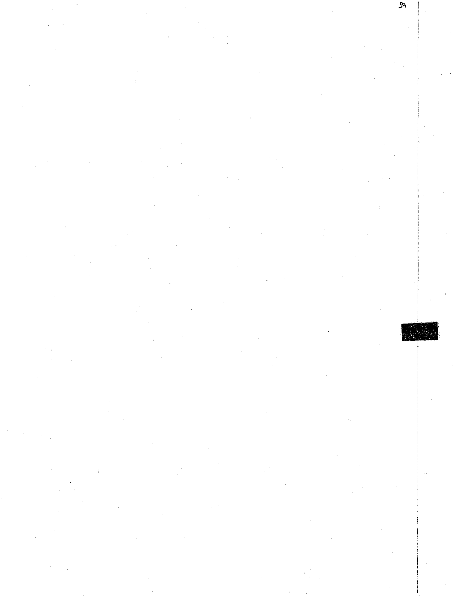R.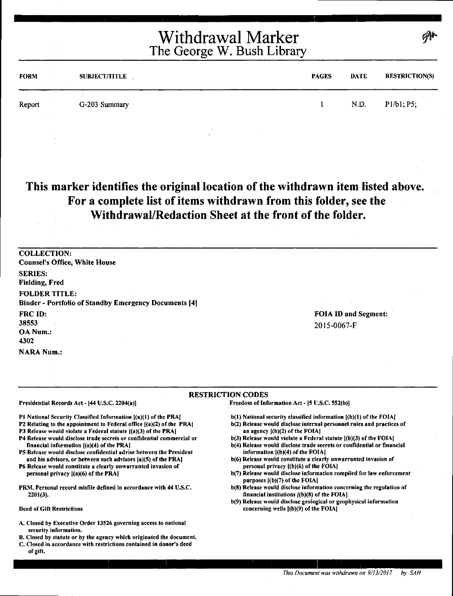| <b>FORM</b> | <b>SUBJECT/TITLE</b> | <b>PAGES</b> | <b>DATE</b> | <b>RESTRICTION(S)</b> |
|-------------|----------------------|--------------|-------------|-----------------------|
| Report      | G-203 Summary        |              | N.D.        | P1/b1; P5;            |
|             |                      |              |             |                       |

### **This marker identifies the original location of the withdrawn item listed above. For a complete list of items withdrawn from this folder, see the Withdrawal/Redaction Sheet at the front of the folder.**

| <b>COLLECTION:</b><br><b>Counsel's Office, White House</b>                           |                                     |
|--------------------------------------------------------------------------------------|-------------------------------------|
| <b>SERIES:</b><br><b>Fielding, Fred</b>                                              |                                     |
| <b>FOLDER TITLE:</b><br><b>Binder - Portfolio of Standby Emergency Documents [4]</b> |                                     |
| FRC ID:<br>38553<br>OA Num.:<br>4302                                                 | FOIA ID and Segment:<br>2015-0067-F |
| <b>NARA Num.:</b>                                                                    |                                     |
|                                                                                      |                                     |

#### RESTRICTION CODES

Presidential Records Act - (44 U.S.C. 2204(a)]

Pl National Security Classified Information ((a)(l) of the PRAJ

- P2 Relating to the appointment to Federal office [(a)(2) of the PRA)
- P3 Release would violate a Federal statute  $[(a)(3)$  of the PRA]
- P4 Release would disclose trade secrets or confidential commercial or financial information [(a)(4) of the PRA)
- PS Release would disclose confidential advise between the President and his advisors, or between such advisors (a)(S) of the PRAI

P6 Release would constitute a clearly unwarranted invasion of personal privacy l(a)(6) of the **PRAI** 

PRM. Personal record misfile defined in accordance with 44 U.S.C. 2201(3).

Deed of Gift Restrictions

- A. Closed by Executive Order 13526 governing access to national security information.
- B. Closed by statute or by the agency which originated the document.
- C. Closed in accordance with restrictions contained in donor's deed of gift.

b(l) National security classified information ((b)(l) of the FOIAJ

Freedom of Information Act - (S U.S.C. 5S2(b))

- b(2) Release would disclose internal personnel rules and practices of an agency  $[(b)(2)$  of the FOIA]
- $b(3)$  Release would violate a Federal statute  $[(b)(3)$  of the FOIA]
- b(4) Release would disclose trade secrets or confidential or financial information  $[(b)(4)$  of the FOIA]
- b(6) Release would constitute a clearly unwarranted invasion of personal privacy [(b)(6) of the FOIA]
- b(7) Release would disclose information compiled for law enforcement purposes  $[(b)(7)$  of the FOIA]
- b(8) Release would disclose information concerning the regulation of financial institutions ((b)(8) of the FOIA)
- b(9) Release would disclose geological or geophysical information concerning wells f(b)(9) of the FOIA)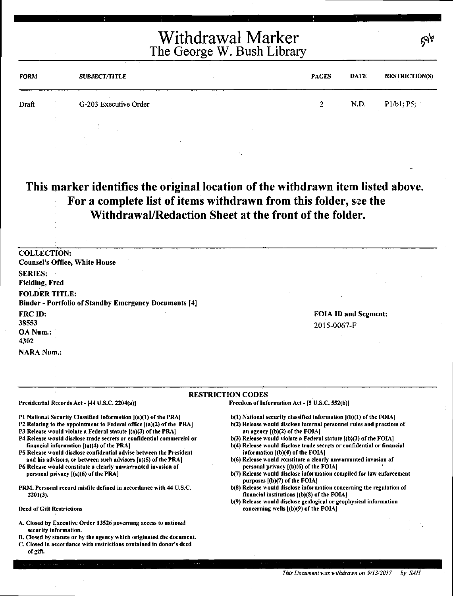| <b>FORM</b> | SUBJECT/TITLE         | <b>PAGES</b> | <b>DATE</b> | <b>RESTRICTION(S)</b> |
|-------------|-----------------------|--------------|-------------|-----------------------|
| Draft       | G-203 Executive Order | $2^{\circ}$  | N.D.        | P1/b1; P5;            |
|             |                       |              |             |                       |

### **This marker identifies the original location of the withdrawn item listed above. For a complete list of items withdrawn from this folder, see the Withdrawal/Redaction Sheet at the front of the folder.**

COLLECTION: Counsel's Office, White House SERIES: Fieldin2, Fred FOLDER TITLE: Binder - Portfolio of Standby Emergency Documents [4] FRCID: 38553 OANum.: 4302 NARA Num.:

FOIA ID and Segment: 2015-0067-F

#### RESTRICTION CODES

Freedom of Information Act - (5 U.S.C. 552(b)I

P1 National Security Classified Information  $[(a)(1)$  of the PRA]

Presidential Records Act - {44 U.S.C. 2204(a)}

- P2 Relating to the appointment to Federal office  $[(a)(2)$  of the PRA]
- P3 Release would violate a Federal statute  $[(a)(3)$  of the PRA]
- P4 Release would disclose trade secrets or confidential commercial or financial information ((a)(4) of the PRA)
- P5 Release would disclose confidential advise between the President and his advisors, or between such advisors [a)(S) of the PRAI
- P6 Release would constitute a clearly unwarranted invasion of personal privacy ((a)(6) of the PRA)
- PRM. Personal record misfile defined in accordance with 44 U.S.C. 2201(3).
- Deed of Gift Restrictions
- A. Closed by Executive Order 13526 governing access to national security information.
- B. Closed by statute or by the agency which originated the document.
- C. Closed in accordance with restrictions contained in donor's deed of gift.
- b(l) National security classified information ((b)(l) of the FOIA)
- b(2) Release would disclose internal personnel rules and practices of an agency  ${(b)(2) of the FOIA}$
- $b(3)$  Release would violate a Federal statute  $($ ( $b)$  $(3)$ ) of the FOIA $|$
- b(4) Release would disclose trade secrets or confidential or financial information  $[(b)(4)$  of the FOIA]
- b(6) Release would constitute a clearly unwarranted invasion of personal privacy [(b)(6) of the FOIA] •
- b(7) Release would disclose information compiled for law enforcement purposes ((b)(7) of the FOIAJ
- b(8) Release would disclose information concerning the regulation of financial institutions l(b)(8) of the FOIAJ
- b(9) Release would disclose geological or geophysical information concerning wells [(b)(9) of the FOIA]

*This Document was withdrawn on 9/13/2017* by *SAH*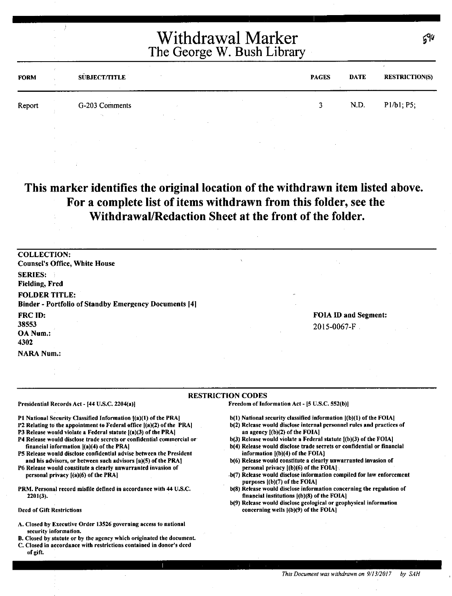| <b>FORM</b> | <b>SUBJECT/TITLE</b> |  | <b>PAGES</b> | <b>DATE</b> | <b>RESTRICTION(S)</b> |
|-------------|----------------------|--|--------------|-------------|-----------------------|
| Report      | G-203 Comments       |  |              | N.D.        | P1/b1; P5;            |
|             |                      |  |              |             |                       |

**This marker identifies the original location of the withdrawn item listed above. For a complete list of items withdrawn from this folder, see the Withdrawal/Redaction Sheet at the front of the folder.** 

COLLECTION: Counsel's Office, White House SERIES: Fielding, Fred FOLDER TITLE: Binder - Portfolio of Standby Emergency Documents [41 FRCID: 38553 OANum.: 4302 **NARA Num.:** FOIA ID and Segment: 2015-0067-F

#### RESTRICTION CODES

Presidential Records Act - (44 U.S.C. 2204(a)I

Pl National Security Classified Information ((a)(l) of the PRAJ

- P2 Relating to the appointment to Federal office [(a)(2) of the PRA)
- P3 Release would violate a Federal statute  ${(a)(3)}$  of the PRA]
- P4 Release would disclose trade secrets or confidential commercial or financial information ((a)(4) of the PRA)
- PS Release would disclose confidential advise between the President and his advisors, or between such advisors [a)(S) of the PRA)
- P6 Release would constitute a clearly unwarranted invasion of personal privacy ((a)(6) of the PRA]
- PRM. Personal record misfile defined in accordance with 44 U.S.C. 2201(3).

Deed of Gift Restrictions

- A. Closed by Executive Order 13526 governing access to national security information.
- B. Closed by statute or by the agency which originated the document. C. Closed in accordance with restrictions contained in donor's deed of gift.

b(1) National security classified information ((b)(1) of the FOIAl

Freedom of Information Act - (S U.S.C. 552(b)]

- b(2) Release would disclose internal personnel rules and practices of an agency [(b)(2) of the FOIA]
- $b(3)$  Release would violate a Federal statute  ${(b)(3)}$  of the FOIA)
- b(4) Release would disclose trade secrets or confidential or financial information [(b)(4) of the FOIA]
- b(6) Release would constitute a clearly unwarranted invasion of personal privacy  $[(b)(6)$  of the FOIA].
- .b(7) Release would disclose information compiled for law enforcement purposes [(b)(7) of the FOIA]
- b(S) Release would disclose information concerning the regulation of financial institutions ((b)(S) of the FOIA]
- b(9) Release would disclose geological or geophysical information concerning wells ((b)(9) of the FOIA)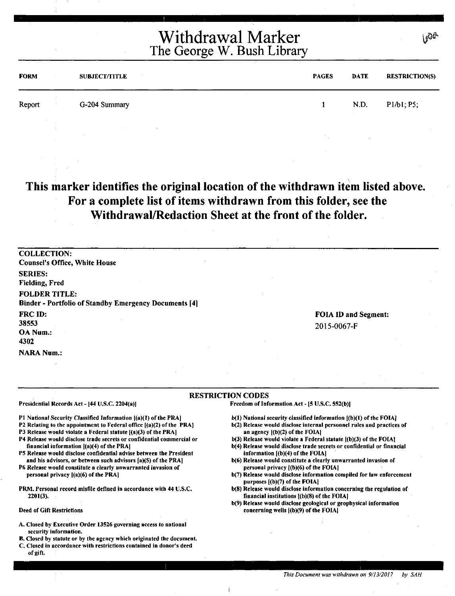| <b>FORM</b> | <b>SUBJECT/TITLE</b> | <b>PAGES</b> | <b>DATE</b> | <b>RESTRICTION(S)</b> |
|-------------|----------------------|--------------|-------------|-----------------------|
| Report      | G-204 Summary        |              | N.D.        | P1/b1; P5;            |
|             |                      |              |             |                       |

**This marker identifies the original location of the withdrawn item listed above. For a complete list of items withdrawn from this folder, see the Withdrawal/Redaction Sheet at the front of the folder.** 

**COLLECTION: Counsel's Office, White House SERIES: Fielding, Fred FOLDER TITLE: Binder** - **Portfolio of Standby Emergency Documents [41 FRCID: 38553 OANum.: 4302 NARA Num.:** 

FOIA ID **and Segment:**  2015-0067-F

#### **RESTRICTION CODES**

Presidential Records Act - (44 U.S.C. 2204(a))

Pt National Security Classified Information ((a)(I) of the PRAJ

- P2 Relating to the appointment to Federal office [(a)(2) of the PRAJ
- P3 Release would violate a Federal statute ((a)(3) of the PRA]
- P4 Release would disclose trade secrets or confidential commercial or financial information  $[(a)(4)$  of the PRA $]$
- PS Release would disclose confidential advise between the President and his advisors, or between such advisors (a)(S) of the PRA)
- P6 Release would constitute a clearly unwarranted invasion of personal privacy ((a)(6) of the PRA]
- PRM. Personal record misfile defined in accordance with 44 U.S.C. 2201(3),

Deed of Gift Restrictions

- A. Closed by Executive Order 13526 governing access to national security information.
- B. Closed by statute or by the agency which originated the document.
- C. Closed in accordance with restrictions contained in donor's deed of gift.

 $b(1)$  National security classified information  $[(b)(1)$  of the FOIA]

Freedom of Information Act - [5 U.S.C. SS2(b)J

- b(2) Release would disclose internal personnel rules and practices of an agency l(b)(2) of the FOIAI
- $b(3)$  Release would violate a Federal statute  $[(b)(3)$  of the FOIA]
- b(4) Release would disclose trade secrets or confidential or financial information  $[(b)(4)$  of the FOIA]
- b(6) Release would constitute a clearly unwarranted invasion of personal privacy l(b)(6) of the FOIAI
- b(7) Release would disclose information compiled for law enforcement purposes l(b)(7) of the **FOIA]**
- b(8) Release would disclose information concerning the regulation of financial institutions ((b)(8) of the FOIA)
- b(9) Release would disclose geological or geophysical information concerning wells  $[(b)(9)$  of the FOIA]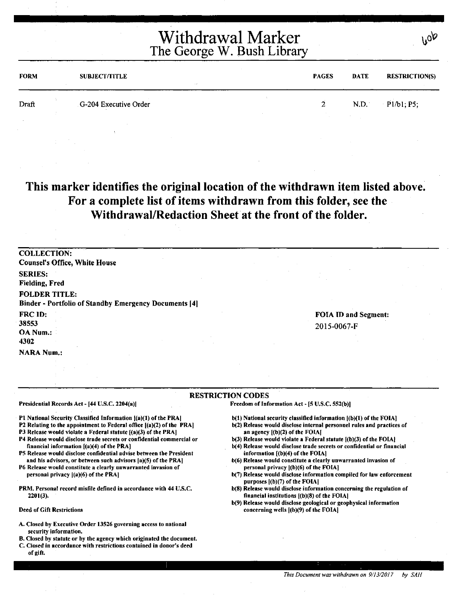| <b>FORM</b> | <b>SUBJECT/TITLE</b>  | - 10 | <b>PAGES</b> | <b>DATE</b> | <b>RESTRICTION(S)</b> |
|-------------|-----------------------|------|--------------|-------------|-----------------------|
| Draft       | G-204 Executive Order |      | n.           | N.D.        | $-$ P1/b1; P5;        |
|             |                       |      |              |             |                       |

**This marker identifies the original location of the withdrawn item listed above. For a complete list of items withdrawn from this folder, see the Withdrawal/Redaction Sheet at the front of the folder.** 

COLLECTION: Counsel's Office, White House SERIES: Fielding, Fred FOLDER TITLE: Binder - Portfolio of Standby Emergency Documents (41 FRCID: 38553 OANum.: 4302 **NARA Num.:** FOIA ID and Segment: 2015-0067-F

#### RESTRICTION CODES

Presidential Records Act - [44 U.S.C. 2204(a)]

Pl National Security Classified Information l(a)(l) of the PRA)

P2 Relating to the appointment to Federal office  $[(a)(2)$  of the PRA]

P3 Release would violate a Federal statute  $[(a)(3)$  of the PRA]

P4 Release would disclose trade secrets or confidential commercial or financial information [(a)(4) of the PRAJ

PS Release would disclose confidential advise between the President and his advisors, or between such advisors (a)(S) of the PRA)

P6 Release would constitute a clearly unwarranted invasion of personal privacy ((a)(6) of the PRA)

PRM. Personal record misfile defined in accordance with 44 U.S,C. 2201(3).

Deed of Gift Restrictions

A. Closed by Executive Order 13526 governing access to national security information.

B. Closed by statute or by the agency which originated the document.

C. Closed in accordance with restrictions contained in donor's deed of gift.

b(1) National security classified information [(b)(l) of the FOIA]

Freedom of Information Act - [5 U.S.C. 552(b)]

- b(2) Release would disclose internal personnel rules and practices of an agency [(b)(2) of the FOIAI
- $b(3)$  Release would violate a Federal statute  $[(b)(3)$  of the FOIA]
- b(4) Release would disclose trade secrets or confidential or financial information [(b)(4) of the FOIA)
- b(6) Release would constitute a clearly unwarranted invasion of personal privacy ((b)(6) of the FOIA)
- b(7) Release would disclose information compiled for law enforcement purposes [(b)(7) of the FOIAJ
- b(8) Release would disclose information concerning the regulation of financial institutions  $(6)(8)$  of the FOIA]
- b(9) Release would disclose geological or geophysical information concerning wells f(b)(9) of the FOIA)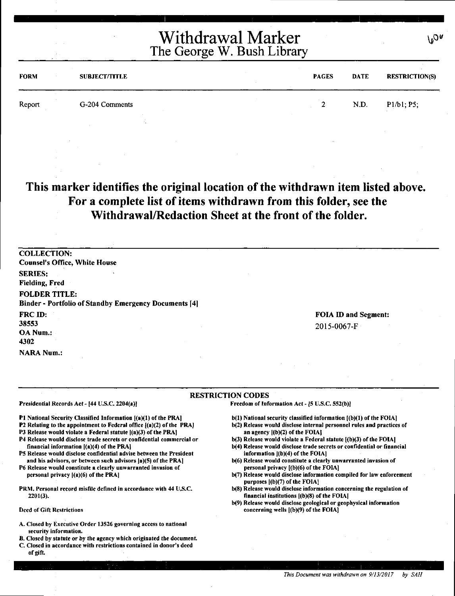| <b>FORM</b> | <b>SUBJECT/TITLE</b> | <b>PAGES</b>   | <b>DATE</b> | <b>RESTRICTION(S)</b> |
|-------------|----------------------|----------------|-------------|-----------------------|
| Report      | G-204 Comments       | $\hat{ }$<br>∸ | N.D.        | P1/b1; P5;            |
|             |                      |                |             |                       |

**This marker identifies the original location of the withdrawn item listed above. For a complete list of items withdrawn from this folder, see the Withdrawal/Redaction Sheet at the front of the folder.** 

COLLECTION: Counsel's Office, White House SERIES: Fielding, Fred FOLDER TITLE: Binder- Portfolio of Standby Emergency Documents [41 FRCID: 38553 OA Num.: 4302 **NARA Num.:** 

FOIA ID and Segment: 2015-0067-F

#### RESTRICTION CODES

Presidential Records Act - [44 U.S.C. 2204(a)]

- Pl National Security Classified Information ((a)(l) of the PRA]
- P2 Relating to the appointment to Federal office  $I(a)(2)$  of the PRAJ P3 Release would violate a Federal statute ((a)(3) of the PRA)
- P4 Release would disclose trade secrets or confidential commercial or
- financial information ((a)(4) of the PRA) PS Release would disclose confidential advise between the President
- and his advisors, or between such advisors  $[a](5)$  of the PRA] P6 Release would constitute a clearly unwarranted invasion of
- personal privacy ((a)(6) of the PRAJ
- PRM. Personal record misfile defined in accordance with 44 U,S.C. 2201(3).

Deed of Gift Restrictions

- A. Closed by Executive Order 13526 governing access to national security information.
- B. Closed by statute or by the agency which originated the document.
- C. Closed in accordance with restrictions contained in donor's deed of gift.

b(l) National security classified information ((b)(l) of the FOIAJ

Freedom of Information Act - (5 U.S.C. 552(b)J

- b(2) Release would disclose internal personnel rules and practices or **an** agency ((b)(2) of the FOIAJ
- b(3) Release would violate a Federal statute ((b)(3) or the FOIAJ
- b(4) Release would disclose trade secrets or confidential or financial information J(b)(4) of the FOIAJ
- b(6) Release would constitute a clearly unwarranted invasion or personal privacy [(b)(6) of the FOIA]
- b(7) Release would disclose information compiled for law enforcement purposes ((b)(7) of the FOIAJ
- b(8) Release would disclose information concerning the regulation of financial institutions ((b)(8) of the FOIAJ
- b(9) Release would disclose geological or geophysical information concerning wells ((b)(9) of the FOIAJ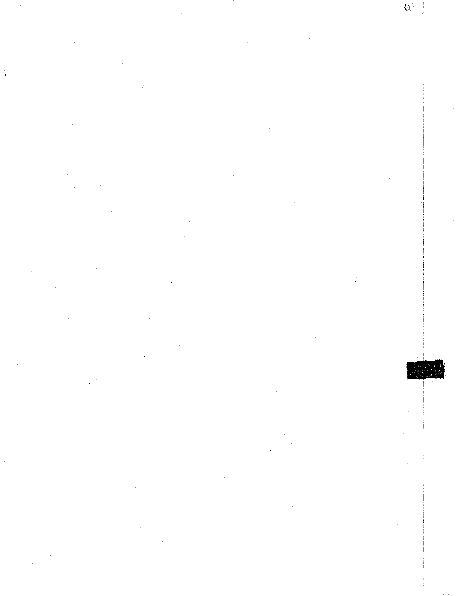ſ

 $\mathcal{N}$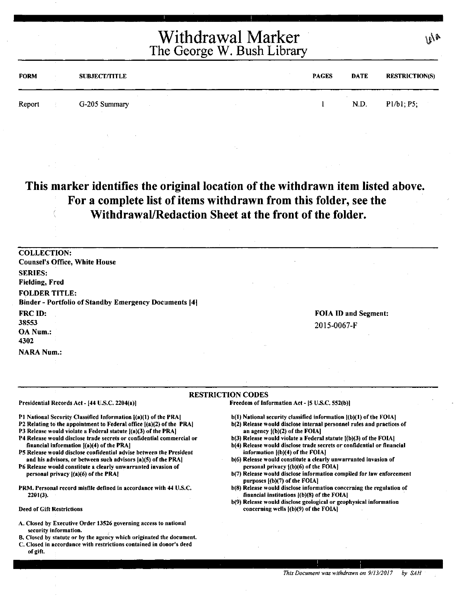| <b>FORM</b> |            | <b>SUBJECT/TITLE</b> |  | <b>PAGES</b> | <b>DATE</b> | RESTRICTION(S) |
|-------------|------------|----------------------|--|--------------|-------------|----------------|
| Report      | $\sim 100$ | G-205 Summary        |  |              | N.D.        | P1/b1; P5;     |

### **This marker identifies the original location of the withdrawn item listed above. For a complete list of items withdrawn from this folder, see the Withdrawal/Redaction Sheet at the front of the folder.**

COLLECTION: Counsel's Office, White House SERIES: Fieldin2, Fred FOLDER TITLE: Binder - Portfolio of Standby Emergency Documents [4] FRCID: 38553 OA Num.: 4302 **NARA Num.:** 

FOIA ID and Segment: 2015-0067-F

#### RESTRICTION CODES

Freedom of Information Act - (S U.S.C. 552(b)I

Pl National Security Classified Information ((a)(l) of the PRA)

Presidential Records Act - {44 U.S.C. 2204(a)]

- P2 Relating to the appointment to Federal office ((a)(2) of the PRAJ
- P3 Release would violate a Federal statute ((a)(3) of the PRA)
- P4 Release would disclose trade secrets or confidential commercial or financial information  $[(a)(4)$  of the PRA]
- PS Release would disclose confidential advise between the President and his advisors, or between such advisors [a)(S) of the PRA)
- P6 Release would constitute a clearly unwarranted invasion of personal privacy  $[(a)(6)$  of the PRA]
- PRM. Personal record misfile defined in accordance with 44 U.S.C. 2201(3).
- Deed of Gift Restrictions
- A. Closed by Executive Order 13526 governing access to national security information.
- 8. Closed by statute or by the agen'cy which originated the document.
- C. Closed in accordance with restrictions contained in donor's deed of gift.
- $b(1)$  National security classified information  $[(b)(1)$  of the FOIA]
- b(2) Release would disclose internal personnel rules and practices of an agency f(b)(2) of the **FOIA]**
- $b(3)$  Release would violate a Federal statute  $\{(b)(3)$  of the FOIA]
- b(4) Release would disclose trade secrets or confidential or financial information f(b)(4) of the FOIA]
- b(6) Release would constitute a clearly unwarranted invasion of personal privacy ((b)(6) of the FOIA)
- b(7) Release would disclose information compiled for law enforcement purposes f(b)(7) of the FOIA]
- b(8) Release would disclose information concerning the regulation of financial institutions ((b)(8) of the FOIA)
- b(9) Release would disclose geological or geophysical information concerning wells f(b)(9) of the FOIAJ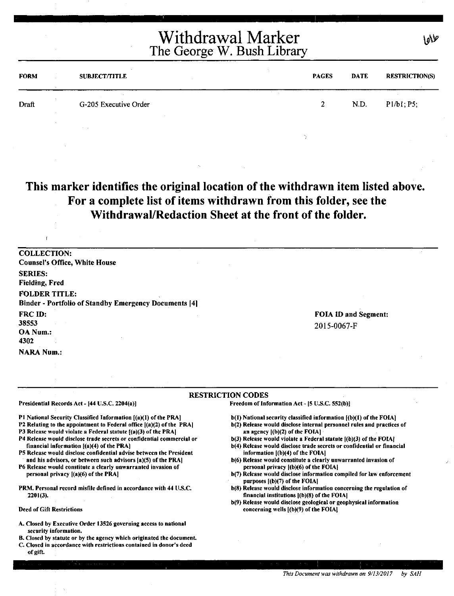| <b>FORM</b> |      | <b>SUBJECT/TITLE</b>  | <b>PAGES</b>   | <b>DATE</b> | <b>RESTRICTION(S)</b> |
|-------------|------|-----------------------|----------------|-------------|-----------------------|
| Draft       | - 21 | G-205 Executive Order | 2 <sup>1</sup> | N.D.        | P1/b1; P5;            |
|             |      |                       |                |             |                       |

### **This marker identifies the original location of the withdrawn item listed above. For a complete list of items withdrawn from this folder, see the Withdrawal/Redaction Sheet at the front of the folder.**

COLLECTION: Counsel's Office, White House SERIES: Fielding, Fred FOLDER TITLE: Binder- Portfolio of Standby Emergency Documents [41 FRCID: 38553 OANum.: 4302 **NARA Num.:** 

FOIA ID and Segment: 2015-0067-F

#### RESTRICTION CODES

Presidential Records Act - 144 U.S.C. 2204(a)]

P1 National Security Classified Information [(a)(1) of the PRA]

- P2 Relating to the appointment to Federal office ((a)(2) of the PRA)
- P3 Release would violate a Federal statute  $((a)(3)$  of the PRA]
- P4 Release would disclose trade secrets or confidential commercial or financial information [(a)(4) of the PRA)
- PS Release would disclose confidential advise between the President and his advisors, or between such advisors [a)(5) of the PRA)
- P6 Release would constitute a clearly unwarranted invasion of personal privacy ((a)(6) of the PRA)
- PRM. Personal record misfile defined in accordance with 44 U.S.C. 2201(3).

Deed of Gift Restrictions

- A. Closed by Executive Order 13526 governing access to national security information,
- 8, Closed by statute or by the agency which originated the document,
- C. Closed in accordance with restrictions contained in donor's deed of gift.

b(1) National security classified information [(b)(l) of the FOlA)

Freedom of Information Act - (5 U.S.C. 552(b)]

- b(2) Release would disclose internal personnel rules and practices of an agency ((b)(2) of the FOIAJ
- $b(3)$  Release would violate a Federal statute  $[(b)(3)$  of the FOIA]
- b(4) Release would disclose trade secrets or confidential or financial information ((b)(4) of the FOIAJ
- b(6) Release would constitute a clearly unwarranted invasion of personal privacy ((b)(6) of the FOIAJ
- b(7) Release would disclose information compiled for law enforcement purposes ((b)(7) of the FOIAJ
- b(8) Release would disclose information concerning the regulation of financial institutions ((b)(8) of the FOlA)
- b(9) Release would disclose geological or geophysical information concerning wells ((b)(9) of the FOIA)